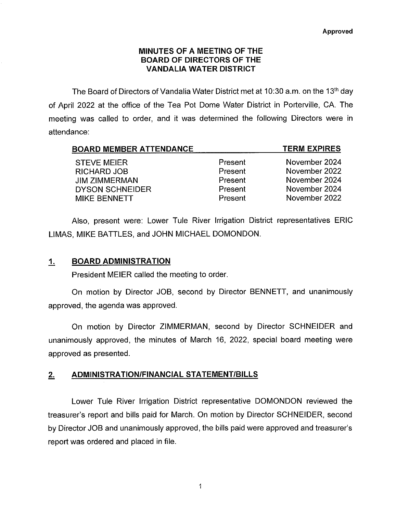#### MINUTES OF A MEETING OF THE BOARD OF DIRECTORS OF THE VANDALIA WATER DISTRICT

The Board of Directors of Vandalia Water District met at 10:30 a.m. on the 13th day of April 2022 at the office of the Tea Pot Dome Water District in Portervilie, CA. The meeting was called to order, and it was determined the following Directors were in attendance:

| <b>BOARD MEMBER ATTENDANCE</b> |         | <b>TERM EXPIRES</b> |
|--------------------------------|---------|---------------------|
| <b>STEVE MEIER</b>             | Present | November 2024       |
| RICHARD JOB                    | Present | November 2022       |
| <b>JIM ZIMMERMAN</b>           | Present | November 2024       |
| <b>DYSON SCHNEIDER</b>         | Present | November 2024       |
| <b>MIKE BENNETT</b>            | Present | November 2022       |

Also, present were: Lower Tule River Irrigation District representatives ERIC LIMAS, MIKE BATTLES, and JOHN MICHAEL DOMONDON.

### 1, BOARD ADMINISTRATION

President MEIER called the meeting to order.

On motion by Director JOB, second by Director BENNETT, and unanimously approved, the agenda was approved.

On motion by Director ZIMMERMAN, second by Director SCHNEIDER and unanimously approved, the minutes of March 16, 2022, special board meeting were approved as presented.

# 2. ADMINISTRATION/FINANCIAL STATEMENT/BILLS

Lower Tule River Irrigation District representative DOMONDON reviewed the treasurer's report and bills paid for March. On motion by Director SCHNEIDER, second by Director JOB and unanimously approved, the bills paid were approved and treasurer's report was ordered and placed in file.

 $\mathbf{1}$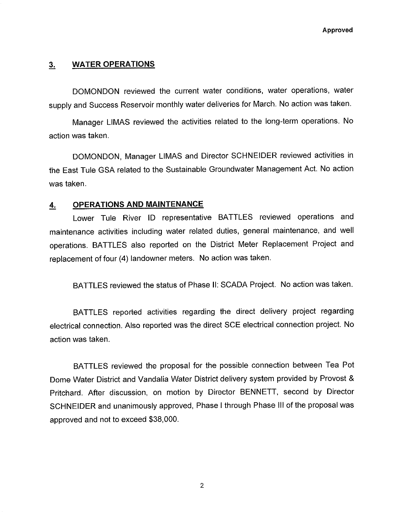#### 3, WATER OPERATIONS

DOMONDON reviewed the current water conditions, water operations, water supply and Success Reservoir monthly water deliveries for March. No action was taken.

Manager LIMAS reviewed the activities related to the tong-term operations. No action was taken.

DOMONDON, Manager LIMAS and Director SCHNEIDER reviewed activities in the East Tule GSA related to the Sustainable Groundwater Management Act. No action was taken.

## 4, OPERATIONS AND MAINTENANCE

Lower Tule River ID representative BATTLES reviewed operations and maintenance activities including water related duties, general maintenance, and well operations. BATTLES also reported on the District Meter Replacement Project and replacement of four (4) landowner meters. No action was taken.

BATTLES reviewed the status of Phase II: SCADA Project. No action was taken.

BATTLES reported activities regarding the direct delivery project regarding electrical connection. Also reported was the direct SCE electrical connection project. No action was taken.

BATTLES reviewed the proposal for the possible connection between Tea Pot Dome Water District and Vandalia Water District delivery system provided by Provost & Pritchard. After discussion, on motion by Director BENNETT, second by Director SCHNEIDER and unanimously approved, Phase I through Phase III of the proposal was approved and not to exceed \$38,000.

 $\overline{2}$